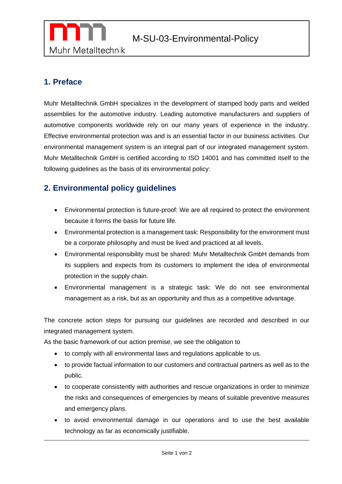

## **1. Preface**

Muhr Metalltechnik GmbH specializes in the development of stamped body parts and welded assemblies for the automotive industry. Leading automotive manufacturers and suppliers of automotive components worldwide rely on our many years of experience in the industry. Effective environmental protection was and is an essential factor in our business activities. Our environmental management system is an integral part of our integrated management system. Muhr Metalltechnik GmbH is certified according to ISO 14001 and has committed itself to the following guidelines as the basis of its environmental policy:

## **2. Environmental policy guidelines**

- Environmental protection is future-proof: We are all required to protect the environment because it forms the basis for future life.
- Environmental protection is a management task: Responsibility for the environment must be a corporate philosophy and must be lived and practiced at all levels.
- Environmental responsibility must be shared: Muhr Metalltechnik GmbH demands from its suppliers and expects from its customers to implement the idea of environmental protection in the supply chain.
- Environmental management is a strategic task: We do not see environmental management as a risk, but as an opportunity and thus as a competitive advantage.

The concrete action steps for pursuing our guidelines are recorded and described in our integrated management system.

As the basic framework of our action premise, we see the obligation to

- to comply with all environmental laws and regulations applicable to us.
- to provide factual information to our customers and contractual partners as well as to the public.
- to cooperate consistently with authorities and rescue organizations in order to minimize the risks and consequences of emergencies by means of suitable preventive measures and emergency plans.
- to avoid environmental damage in our operations and to use the best available technology as far as economically justifiable.